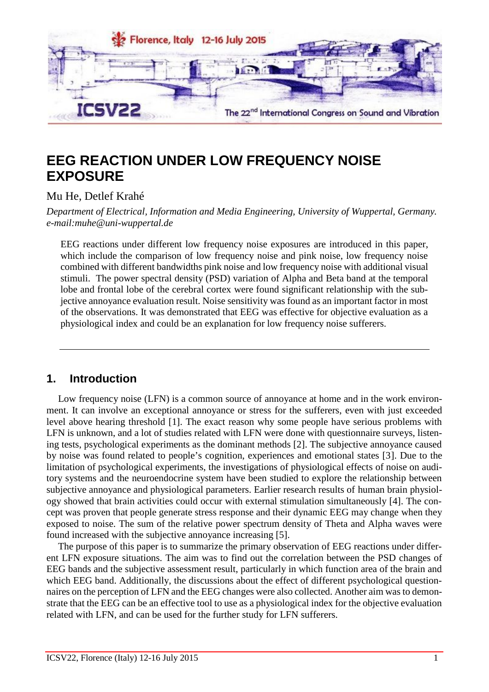

# **EEG REACTION UNDER LOW FREQUENCY NOISE EXPOSURE**

Mu He, Detlef Krahé

*Department of Electrical, Information and Media Engineering, University of Wuppertal, Germany. [e-mail:muhe@uni-wuppertal.de](mailto:e-mail:muhe@uni-wuppertal.de)*

EEG reactions under different low frequency noise exposures are introduced in this paper, which include the comparison of low frequency noise and pink noise, low frequency noise combined with different bandwidths pink noise and low frequency noise with additional visual stimuli. The power spectral density (PSD) variation of Alpha and Beta band at the temporal lobe and frontal lobe of the cerebral cortex were found significant relationship with the subjective annoyance evaluation result. Noise sensitivity was found as an important factor in most of the observations. It was demonstrated that EEG was effective for objective evaluation as a physiological index and could be an explanation for low frequency noise sufferers.

## **1. Introduction**

Low frequency noise (LFN) is a common source of annoyance at home and in the work environment. It can involve an exceptional annoyance or stress for the sufferers, even with just exceeded level above hearing threshold [1]. The exact reason why some people have serious problems with LFN is unknown, and a lot of studies related with LFN were done with questionnaire surveys, listening tests, psychological experiments as the dominant methods [2]. The subjective annoyance caused by noise was found related to people's cognition, experiences and emotional states [3]. Due to the limitation of psychological experiments, the investigations of physiological effects of noise on auditory systems and the neuroendocrine system have been studied to explore the relationship between subjective annoyance and physiological parameters. Earlier research results of human brain physiology showed that brain activities could occur with external stimulation simultaneously [4]. The concept was proven that people generate stress response and their dynamic EEG may change when they exposed to noise. The sum of the relative power spectrum density of Theta and Alpha waves were found increased with the subjective annoyance increasing [5].

The purpose of this paper is to summarize the primary observation of EEG reactions under different LFN exposure situations. The aim was to find out the correlation between the PSD changes of EEG bands and the subjective assessment result, particularly in which function area of the brain and which EEG band. Additionally, the discussions about the effect of different psychological questionnaires on the perception of LFN and the EEG changes were also collected. Another aim was to demonstrate that the EEG can be an effective tool to use as a physiological index for the objective evaluation related with LFN, and can be used for the further study for LFN sufferers.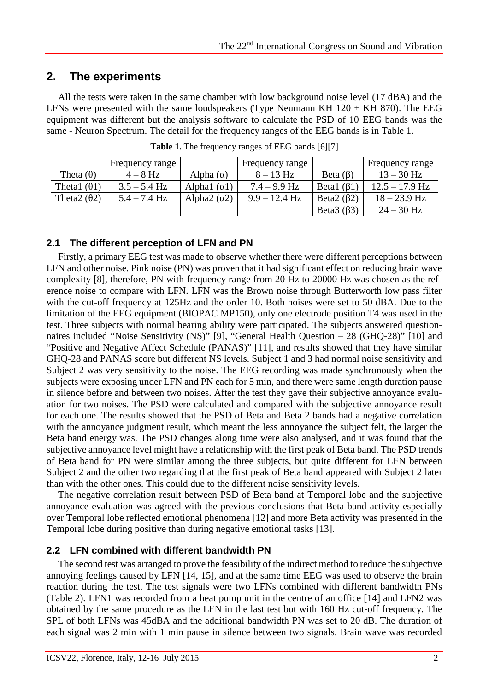## **2. The experiments**

All the tests were taken in the same chamber with low background noise level (17 dBA) and the LFNs were presented with the same loudspeakers (Type Neumann KH  $120 + KH$  870). The EEG equipment was different but the analysis software to calculate the PSD of 10 EEG bands was the same - Neuron Spectrum. The detail for the frequency ranges of the EEG bands is in Table 1.

|                      | Frequency range |               | Frequency range |             | Frequency range  |
|----------------------|-----------------|---------------|-----------------|-------------|------------------|
| Theta (              | $4-8$ Hz        | Alpha (       | $8 - 13$ Hz     | Beta (      | $13 - 30$ Hz     |
| Theta1 (             | $3.5 - 5.4$ Hz  | Alphal $(1)$  | $7.4 - 9.9$ Hz  | Betal (     | $12.5 - 17.9$ Hz |
| Theta <sub>2</sub> ( | $5.4 - 7.4$ Hz  | Alpha2 $\ell$ | $9.9 - 12.4$ Hz | Beta $2(2)$ | $18 - 23.9$ Hz   |
|                      |                 |               |                 | Beta $3(3)$ | $24 - 30$ Hz     |

**Table 1.** The frequency ranges of EEG bands [6][7]

#### **2.1 The different perception of LFN and PN**

Firstly, a primary EEG test was made to observe whether there were different perceptions between LFN and other noise. Pink noise (PN) was proven that it had significant effect on reducing brain wave complexity [8], therefore, PN with frequency range from 20 Hz to 20000 Hz was chosen as the reference noise to compare with LFN. LFN was the Brown noise through Butterworth low pass filter with the cut-off frequency at 125Hz and the order 10. Both noises were set to 50 dBA. Due to the limitation of the EEG equipment (BIOPAC MP150), only one electrode position T4 was used in the test. Three subjects with normal hearing ability were participated. The subjects answered questionnaires included "Noise Sensitivity (NS)" [9], "General Health Question – 28 (GHQ-28)" [10] and "Positive and Negative Affect Schedule (PANAS)" [11], and results showed that they have similar GHQ-28 and PANAS score but different NS levels. Subject 1 and 3 had normal noise sensitivity and Subject 2 was very sensitivity to the noise. The EEG recording was made synchronously when the subjects were exposing under LFN and PN each for 5 min, and there were same length duration pause in silence before and between two noises. After the test they gave their subjective annoyance evaluation for two noises. The PSD were calculated and compared with the subjective annoyance result for each one. The results showed that the PSD of Beta and Beta 2 bands had a negative correlation with the annoyance judgment result, which meant the less annoyance the subject felt, the larger the Beta band energy was. The PSD changes along time were also analysed, and it was found that the subjective annoyance level might have a relationship with the first peak of Beta band. The PSD trends of Beta band for PN were similar among the three subjects, but quite different for LFN between Subject 2 and the other two regarding that the first peak of Beta band appeared with Subject 2 later than with the other ones. This could due to the different noise sensitivity levels.

The negative correlation result between PSD of Beta band at Temporal lobe and the subjective annoyance evaluation was agreed with the previous conclusions that Beta band activity especially over Temporal lobe reflected emotional phenomena [12] and more Beta activity was presented in the Temporal lobe during positive than during negative emotional tasks [13].

#### **2.2 LFN combined with different bandwidth PN**

The second test was arranged to prove the feasibility of the indirect method to reduce the subjective annoying feelings caused by LFN [14, 15], and at the same time EEG was used to observe the brain reaction during the test. The test signals were two LFNs combined with different bandwidth PNs (Table 2). LFN1 was recorded from a heat pump unit in the centre of an office [14] and LFN2 was obtained by the same procedure as the LFN in the last test but with 160 Hz cut-off frequency. The SPL of both LFNs was 45dBA and the additional bandwidth PN was set to 20 dB. The duration of each signal was 2 min with 1 min pause in silence between two signals. Brain wave was recorded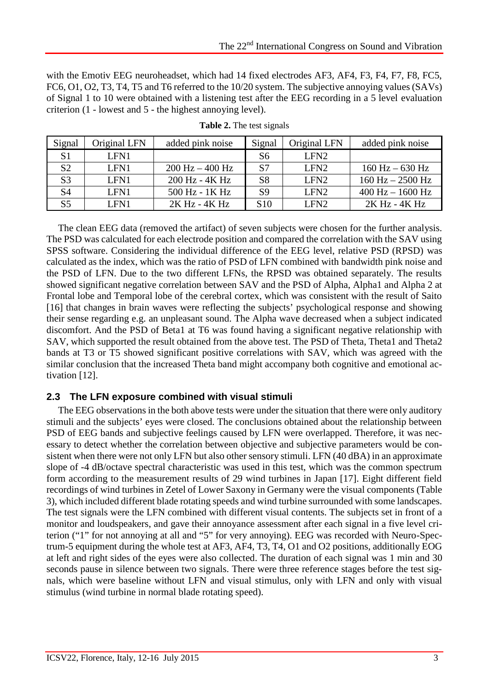with the Emotiv EEG neuroheadset, which had 14 fixed electrodes AF3, AF4, F3, F4, F7, F8, FC5, FC6, O1, O2, T3, T4, T5 and T6 referred to the 10/20 system. The subjective annoying values (SAVs) of Signal 1 to 10 were obtained with a listening test after the EEG recording in a 5 level evaluation criterion (1 - lowest and 5 - the highest annoying level).

| Signal         | Original LFN | added pink noise                  | Signal          | Original LFN     | added pink noise     |
|----------------|--------------|-----------------------------------|-----------------|------------------|----------------------|
| S <sub>1</sub> | LFN1         |                                   | S6              | LFN <sub>2</sub> |                      |
| S <sub>2</sub> | LFN1         | $200 \text{ Hz} - 400 \text{ Hz}$ | S7              | LFN <sub>2</sub> | $160$ Hz $- 630$ Hz  |
| S <sub>3</sub> | LFN1         | 200 Hz - 4K Hz                    | S <sub>8</sub>  | LFN <sub>2</sub> | $160$ Hz $- 2500$ Hz |
| S4             | LFN1         | 500 Hz - 1K Hz                    | S <sub>9</sub>  | LFN <sub>2</sub> | $400$ Hz $- 1600$ Hz |
|                | LFN1         | 2K Hz - 4K Hz                     | S <sub>10</sub> | LFN <sub>2</sub> | 2K Hz - 4K Hz        |

| <b>Table 2.</b> The test signals |  |  |
|----------------------------------|--|--|
|                                  |  |  |

The clean EEG data (removed the artifact) of seven subjects were chosen for the further analysis. The PSD was calculated for each electrode position and compared the correlation with the SAV using SPSS software. Considering the individual difference of the EEG level, relative PSD (RPSD) was calculated as the index, which was the ratio of PSD of LFN combined with bandwidth pink noise and the PSD of LFN. Due to the two different LFNs, the RPSD was obtained separately. The results showed significant negative correlation between SAV and the PSD of Alpha, Alpha1 and Alpha 2 at Frontal lobe and Temporal lobe of the cerebral cortex, which was consistent with the result of Saito [16] that changes in brain waves were reflecting the subjects' psychological response and showing their sense regarding e.g. an unpleasant sound. The Alpha wave decreased when a subject indicated discomfort. And the PSD of Beta1 at T6 was found having a significant negative relationship with SAV, which supported the result obtained from the above test. The PSD of Theta, Theta1 and Theta2 bands at T3 or T5 showed significant positive correlations with SAV, which was agreed with the similar conclusion that the increased Theta band might accompany both cognitive and emotional activation [12].

#### **2.3 The LFN exposure combined with visual stimuli**

The EEG observations in the both above tests were under the situation that there were only auditory stimuli and the subjects' eyes were closed. The conclusions obtained about the relationship between PSD of EEG bands and subjective feelings caused by LFN were overlapped. Therefore, it was necessary to detect whether the correlation between objective and subjective parameters would be consistent when there were not only LFN but also other sensory stimuli. LFN (40 dBA) in an approximate slope of -4 dB/octave spectral characteristic was used in this test, which was the common spectrum form according to the measurement results of 29 wind turbines in Japan [17]. Eight different field recordings of wind turbines in Zetel of Lower Saxony in Germany were the visual components (Table 3), which included different blade rotating speeds and wind turbine surrounded with some landscapes. The test signals were the LFN combined with different visual contents. The subjects set in front of a monitor and loudspeakers, and gave their annoyance assessment after each signal in a five level criterion ("1" for not annoying at all and "5" for very annoying). EEG was recorded with Neuro-Spectrum-5 equipment during the whole test at AF3, AF4, T3, T4, O1 and O2 positions, additionally EOG at left and right sides of the eyes were also collected. The duration of each signal was 1 min and 30 seconds pause in silence between two signals. There were three reference stages before the test signals, which were baseline without LFN and visual stimulus, only with LFN and only with visual stimulus (wind turbine in normal blade rotating speed).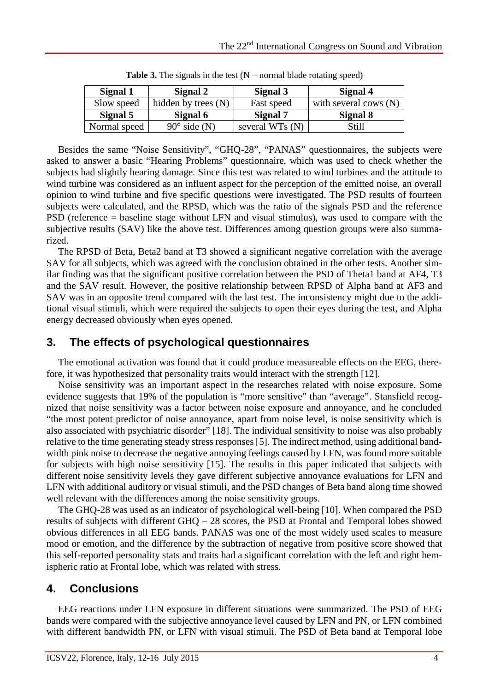| Signal 1     | Signal 2              | Signal 3        | Signal 4                |
|--------------|-----------------------|-----------------|-------------------------|
| Slow speed   | hidden by trees $(N)$ | Fast speed      | with several cows $(N)$ |
| Signal 5     | Signal 6              | Signal 7        | Signal 8                |
| Normal speed | $90^\circ$ side (N)   | several WTs (N) | Still                   |

**Table 3.** The signals in the test  $(N = normal b)$  blade rotating speed)

Besides the same "Noise Sensitivity", "GHQ-28", "PANAS" questionnaires, the subjects were asked to answer a basic "Hearing Problems" questionnaire, which was used to check whether the subjects had slightly hearing damage. Since this test was related to wind turbines and the attitude to wind turbine was considered as an influent aspect for the perception of the emitted noise, an overall opinion to wind turbine and five specific questions were investigated. The PSD results of fourteen subjects were calculated, and the RPSD, which was the ratio of the signals PSD and the reference PSD (reference = baseline stage without LFN and visual stimulus), was used to compare with the subjective results (SAV) like the above test. Differences among question groups were also summarized.

The RPSD of Beta, Beta2 band at T3 showed a significant negative correlation with the average SAV for all subjects, which was agreed with the conclusion obtained in the other tests. Another similar finding was that the significant positive correlation between the PSD of Theta1 band at AF4, T3 and the SAV result. However, the positive relationship between RPSD of Alpha band at AF3 and SAV was in an opposite trend compared with the last test. The inconsistency might due to the additional visual stimuli, which were required the subjects to open their eyes during the test, and Alpha energy decreased obviously when eyes opened.

# **3. The effects of psychological questionnaires**

The emotional activation was found that it could produce measureable effects on the EEG, therefore, it was hypothesized that personality traits would interact with the strength [12].

Noise sensitivity was an important aspect in the researches related with noise exposure. Some evidence suggests that 19% of the population is "more sensitive" than "average". Stansfield recognized that noise sensitivity was a factor between noise exposure and annoyance, and he concluded "the most potent predictor of noise annoyance, apart from noise level, is noise sensitivity which is also associated with psychiatric disorder" [18]. The individual sensitivity to noise was also probably relative to the time generating steady stress responses [5]. The indirect method, using additional bandwidth pink noise to decrease the negative annoying feelings caused by LFN, was found more suitable for subjects with high noise sensitivity [15]. The results in this paper indicated that subjects with different noise sensitivity levels they gave different subjective annoyance evaluations for LFN and LFN with additional auditory or visual stimuli, and the PSD changes of Beta band along time showed well relevant with the differences among the noise sensitivity groups.

The GHQ-28 was used as an indicator of psychological well-being [10]. When compared the PSD results of subjects with different GHQ – 28 scores, the PSD at Frontal and Temporal lobes showed obvious differences in all EEG bands. PANAS was one of the most widely used scales to measure mood or emotion, and the difference by the subtraction of negative from positive score showed that this self-reported personality stats and traits had a significant correlation with the left and right hemispheric ratio at Frontal lobe, which was related with stress.

# **4. Conclusions**

EEG reactions under LFN exposure in different situations were summarized. The PSD of EEG bands were compared with the subjective annoyance level caused by LFN and PN, or LFN combined with different bandwidth PN, or LFN with visual stimuli. The PSD of Beta band at Temporal lobe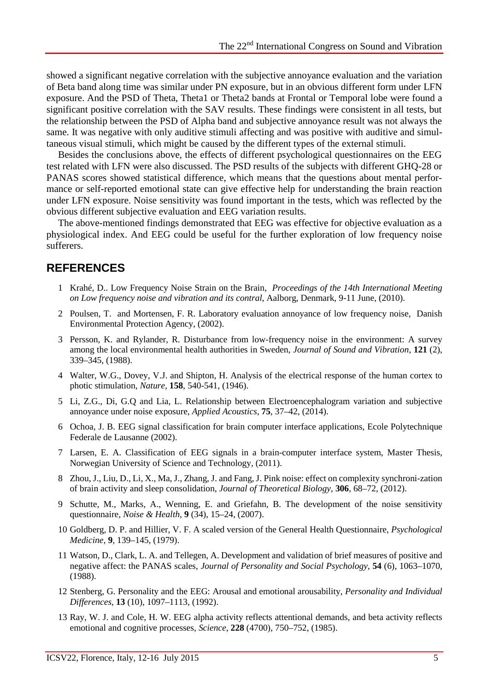showed a significant negative correlation with the subjective annoyance evaluation and the variation of Beta band along time was similar under PN exposure, but in an obvious different form under LFN exposure. And the PSD of Theta, Theta1 or Theta2 bands at Frontal or Temporal lobe were found a significant positive correlation with the SAV results. These findings were consistent in all tests, but the relationship between the PSD of Alpha band and subjective annoyance result was not always the same. It was negative with only auditive stimuli affecting and was positive with auditive and simultaneous visual stimuli, which might be caused by the different types of the external stimuli.

Besides the conclusions above, the effects of different psychological questionnaires on the EEG test related with LFN were also discussed. The PSD results of the subjects with different GHQ-28 or PANAS scores showed statistical difference, which means that the questions about mental performance or self-reported emotional state can give effective help for understanding the brain reaction under LFN exposure. Noise sensitivity was found important in the tests, which was reflected by the obvious different subjective evaluation and EEG variation results.

The above-mentioned findings demonstrated that EEG was effective for objective evaluation as a physiological index. And EEG could be useful for the further exploration of low frequency noise sufferers.

#### **REFERENCES**

- 1 Krahé, D.. Low Frequency Noise Strain on the Brain, *Proceedings of the 14th International Meeting on Low frequency noise and vibration and its contral*, Aalborg, Denmark, 9-11 June, (2010).
- 2 Poulsen, T. and Mortensen, F. R. Laboratory evaluation annoyance of low frequency noise, Danish Environmental Protection Agency, (2002).
- 3 Persson, K. and Rylander, R. Disturbance from low-frequency noise in the environment: A survey among the local environmental health authorities in Sweden, *Journal of Sound and Vibration*, **121** (2), 339–345, (1988).
- 4 Walter, W.G., Dovey, V.J. and Shipton, H. Analysis of the electrical response of the human cortex to photic stimulation, *Nature*, **158**, 540-541, (1946).
- 5 Li, Z.G., Di, G.Q and Lia, L. Relationship between Electroencephalogram variation and subjective annoyance under noise exposure, *Applied Acoustics*, **75**, 37–42, (2014).
- 6 Ochoa, J. B. EEG signal classification for brain computer interface applications, Ecole Polytechnique Federale de Lausanne (2002).
- 7 Larsen, E. A. Classification of EEG signals in a brain-computer interface system, Master Thesis, Norwegian University of Science and Technology, (2011).
- 8 Zhou, J., Liu, D., Li, X., Ma, J., Zhang, J. and Fang, J. Pink noise: effect on complexity synchroni-zation of brain activity and sleep consolidation, *Journal of Theoretical Biology*, **306**, 68–72, (2012).
- 9 Schutte, M., Marks, A., Wenning, E. and Griefahn, B. The development of the noise sensitivity questionnaire, *Noise & Health*, **9** (34), 15–24, (2007).
- 10 Goldberg, D. P. and Hillier, V. F. A scaled version of the General Health Questionnaire, *Psychological Medicine*, **9**, 139–145, (1979).
- 11 Watson, D., Clark, L. A. and Tellegen, A. Development and validation of brief measures of positive and negative affect: the PANAS scales, *Journal of Personality and Social Psychology*, **54** (6), 1063–1070, (1988).
- 12 Stenberg, G. Personality and the EEG: Arousal and emotional arousability, *Personality and Individual Differences*, **13** (10), 1097–1113, (1992).
- 13 Ray, W. J. and Cole, H. W. EEG alpha activity reflects attentional demands, and beta activity reflects emotional and cognitive processes, *Science*, **228** (4700), 750–752, (1985).